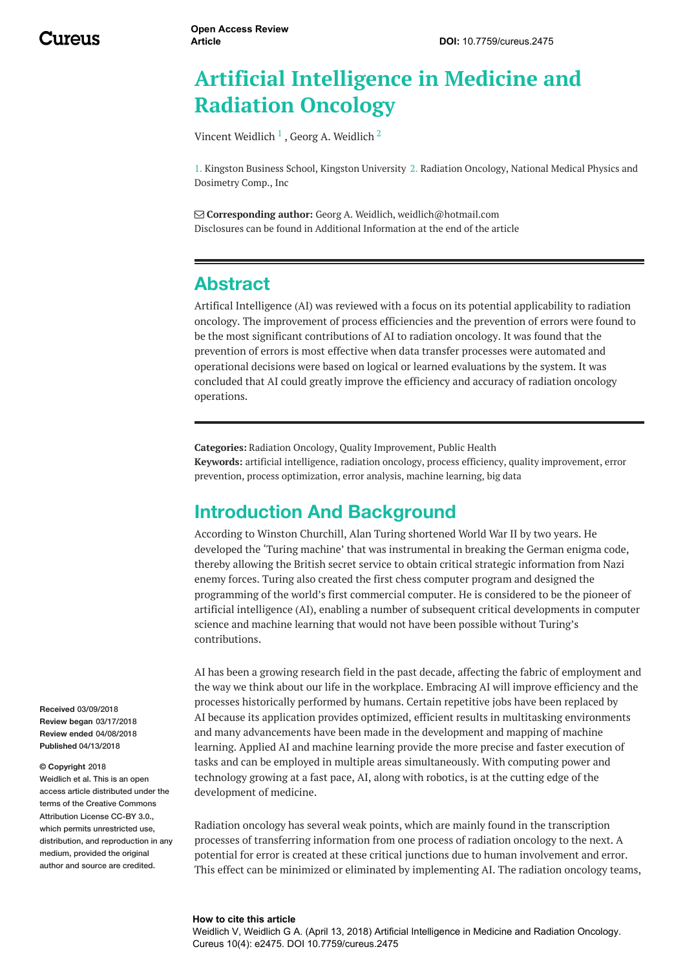# **Artificial Intelligence in Medicine and Radiation Oncology**

Vincent [Weidlich](https://www.cureus.com/users/14779-georg-a-weidlich)  $^1$  , Georg A. Weidlich  $^2$ 

1. Kingston Business School, Kingston University 2. Radiation Oncology, National Medical Physics and Dosimetry Comp., Inc

 **Corresponding author:** Georg A. Weidlich, weidlich@hotmail.com Disclosures can be found in Additional Information at the end of the article

## **Abstract**

Artifical Intelligence (AI) was reviewed with a focus on its potential applicability to radiation oncology. The improvement of process efficiencies and the prevention of errors were found to be the most significant contributions of AI to radiation oncology. It was found that the prevention of errors is most effective when data transfer processes were automated and operational decisions were based on logical or learned evaluations by the system. It was concluded that AI could greatly improve the efficiency and accuracy of radiation oncology operations.

**Categories:** Radiation Oncology, Quality Improvement, Public Health **Keywords:** artificial intelligence, radiation oncology, process efficiency, quality improvement, error prevention, process optimization, error analysis, machine learning, big data

## **Introduction And Background**

According to Winston Churchill, Alan Turing shortened World War II by two years. He developed the 'Turing machine' that was instrumental in breaking the German enigma code, thereby allowing the British secret service to obtain critical strategic information from Nazi enemy forces. Turing also created the first chess computer program and designed the programming of the world's first commercial computer. He is considered to be the pioneer of artificial intelligence (AI), enabling a number of subsequent critical developments in computer science and machine learning that would not have been possible without Turing's contributions.

AI has been a growing research field in the past decade, affecting the fabric of employment and the way we think about our life in the workplace. Embracing AI will improve efficiency and the processes historically performed by humans. Certain repetitive jobs have been replaced by AI because its application provides optimized, efficient results in multitasking environments and many advancements have been made in the development and mapping of machine learning. Applied AI and machine learning provide the more precise and faster execution of tasks and can be employed in multiple areas simultaneously. With computing power and technology growing at a fast pace, AI, along with robotics, is at the cutting edge of the development of medicine.

Radiation oncology has several weak points, which are mainly found in the transcription processes of transferring information from one process of radiation oncology to the next. A potential for error is created at these critical junctions due to human involvement and error. This effect can be minimized or eliminated by implementing AI. The radiation oncology teams,

#### **How to cite this article**

Weidlich V, Weidlich G A. (April 13, 2018) Artificial Intelligence in Medicine and Radiation Oncology. Cureus 10(4): e2475. DOI 10.7759/cureus.2475

**Received** 03/09/2018 **Review began** 03/17/2018 **Review ended** 04/08/2018 **Published** 04/13/2018

#### **© Copyright** 2018

Weidlich et al. This is an open access article distributed under the terms of the Creative Commons Attribution License CC-BY 3.0. which permits unrestricted use, distribution, and reproduction in any medium, provided the original author and source are credited.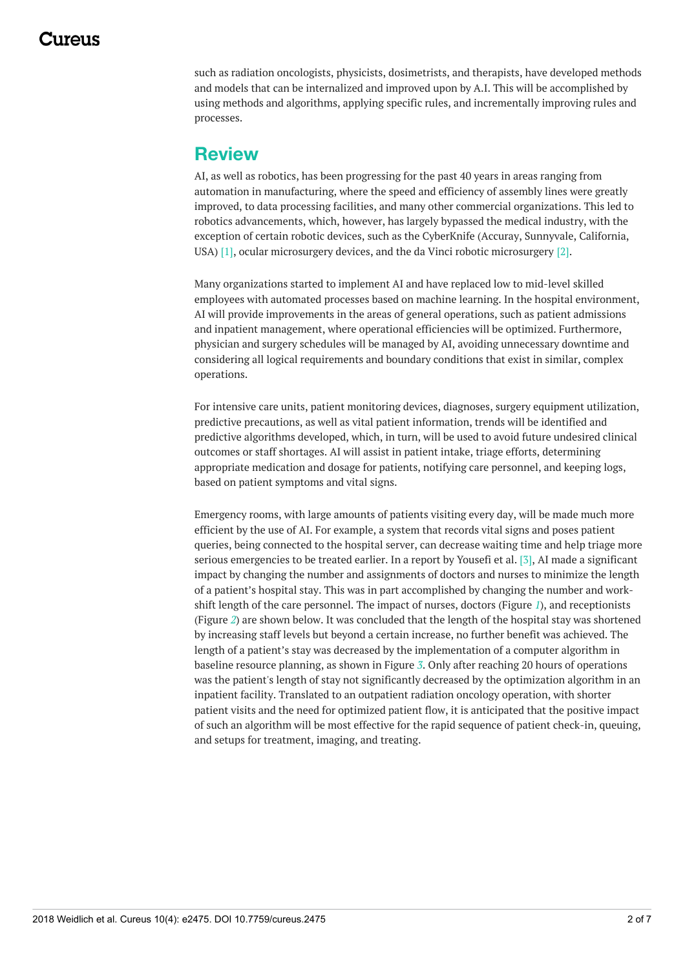such as radiation oncologists, physicists, dosimetrists, and therapists, have developed methods and models that can be internalized and improved upon by A.I. This will be accomplished by using methods and algorithms, applying specific rules, and incrementally improving rules and processes.

### **Review**

AI, as well as robotics, has been progressing for the past 40 years in areas ranging from automation in manufacturing, where the speed and efficiency of assembly lines were greatly improved, to data processing facilities, and many other commercial organizations. This led to robotics advancements, which, however, has largely bypassed the medical industry, with the exception of certain robotic devices, such as the CyberKnife (Accuray, Sunnyvale, California, USA) [1], ocular microsurgery devices, and the da Vinci robotic microsurgery [2].

Many organizations started to implement AI and have replaced low to mid-level skilled employees with automated processes based on machine learning. In the hospital environment, AI will provide improvements in the areas of general operations, such as patient admissions and inpatient management, where operational efficiencies will be optimized. Furthermore, physician and surgery schedules will be managed by AI, avoiding unnecessary downtime and considering all logical requirements and boundary conditions that exist in similar, complex operations.

For intensive care units, patient monitoring devices, diagnoses, surgery equipment utilization, predictive precautions, as well as vital patient information, trends will be identified and predictive algorithms developed, which, in turn, will be used to avoid future undesired clinical outcomes or staff shortages. AI will assist in patient intake, triage efforts, determining appropriate medication and dosage for patients, notifying care personnel, and keeping logs, based on patient symptoms and vital signs.

Emergency rooms, with large amounts of patients visiting every day, will be made much more efficient by the use of AI. For example, a system that records vital signs and poses patient queries, being connected to the hospital server, can decrease waiting time and help triage more serious emergencies to be treated earlier. In a report by Yousefi et al. [3], AI made a significant impact by changing the number and assignments of doctors and nurses to minimize the length of a patient's hospital stay. This was in part accomplished by changing the number and workshift length of the care personnel. The impact of nurses, doctors (Figure *[1](#page-2-0)*), and receptionists (Figure *[2](#page-2-1)*) are shown below. It was concluded that the length of the hospital stay was shortened by increasing staff levels but beyond a certain increase, no further benefit was achieved. The length of a patient's stay was decreased by the implementation of a computer algorithm in baseline resource planning, as shown in Figure *[3](#page-3-0)*. Only after reaching 20 hours of operations was the patient's length of stay not significantly decreased by the optimization algorithm in an inpatient facility. Translated to an outpatient radiation oncology operation, with shorter patient visits and the need for optimized patient flow, it is anticipated that the positive impact of such an algorithm will be most effective for the rapid sequence of patient check-in, queuing, and setups for treatment, imaging, and treating.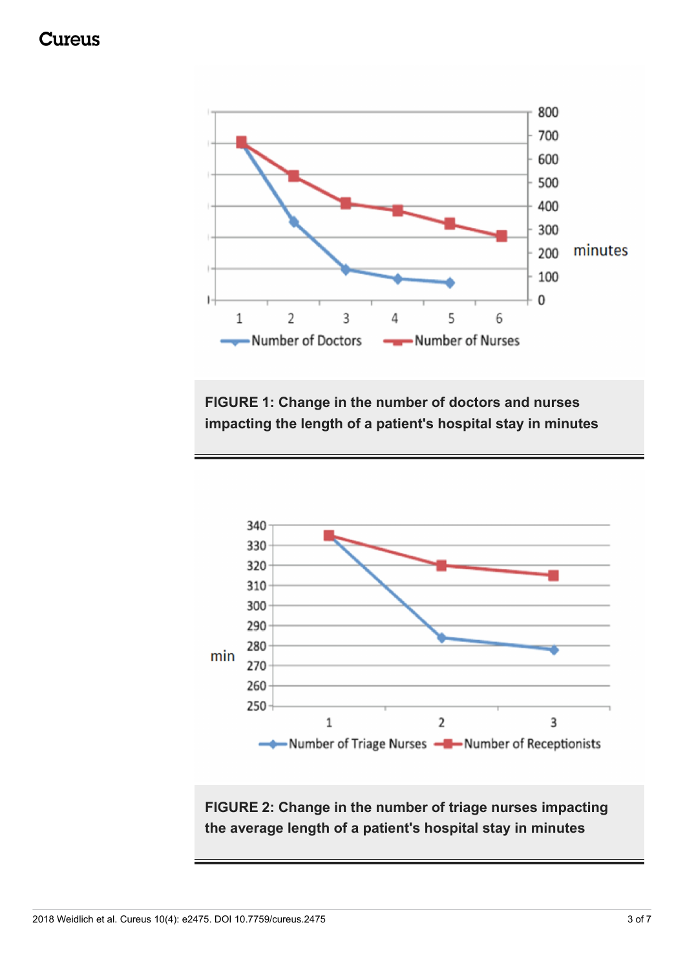## Cureus

<span id="page-2-0"></span>

**FIGURE 1: Change in the number of doctors and nurses impacting the length of a patient's hospital stay in minutes**

<span id="page-2-1"></span>

**FIGURE 2: Change in the number of triage nurses impacting the average length of a patient's hospital stay in minutes**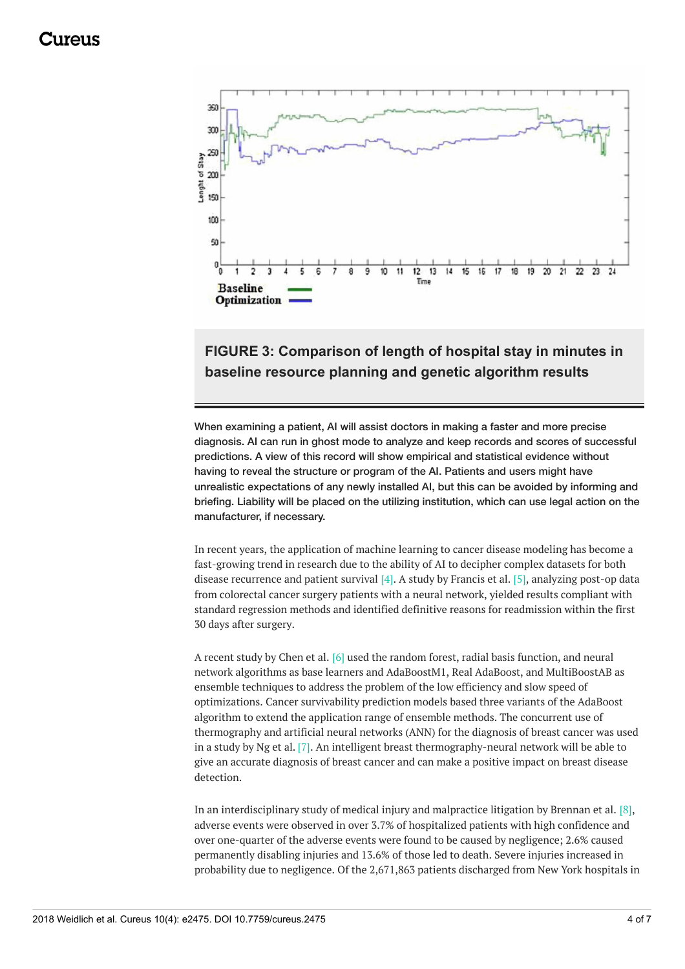## 117A11C

<span id="page-3-0"></span>

### **FIGURE 3: Comparison of length of hospital stay in minutes in baseline resource planning and genetic algorithm results**

When examining a patient, AI will assist doctors in making a faster and more precise diagnosis. AI can run in ghost mode to analyze and keep records and scores of successful predictions. A view of this record will show empirical and statistical evidence without having to reveal the structure or program of the AI. Patients and users might have unrealistic expectations of any newly installed AI, but this can be avoided by informing and briefing. Liability will be placed on the utilizing institution, which can use legal action on the manufacturer, if necessary.

In recent years, the application of machine learning to cancer disease modeling has become a fast-growing trend in research due to the ability of AI to decipher complex datasets for both disease recurrence and patient survival [4]. A study by Francis et al. [5], analyzing post-op data from colorectal cancer surgery patients with a neural network, yielded results compliant with standard regression methods and identified definitive reasons for readmission within the first 30 days after surgery.

A recent study by Chen et al. [6] used the random forest, radial basis function, and neural network algorithms as base learners and AdaBoostM1, Real AdaBoost, and MultiBoostAB as ensemble techniques to address the problem of the low efficiency and slow speed of optimizations. Cancer survivability prediction models based three variants of the AdaBoost algorithm to extend the application range of ensemble methods. The concurrent use of thermography and artificial neural networks (ANN) for the diagnosis of breast cancer was used in a study by Ng et al. [7]. An intelligent breast thermography-neural network will be able to give an accurate diagnosis of breast cancer and can make a positive impact on breast disease detection.

In an interdisciplinary study of medical injury and malpractice litigation by Brennan et al. [8], adverse events were observed in over 3.7% of hospitalized patients with high confidence and over one-quarter of the adverse events were found to be caused by negligence; 2.6% caused permanently disabling injuries and 13.6% of those led to death. Severe injuries increased in probability due to negligence. Of the 2,671,863 patients discharged from New York hospitals in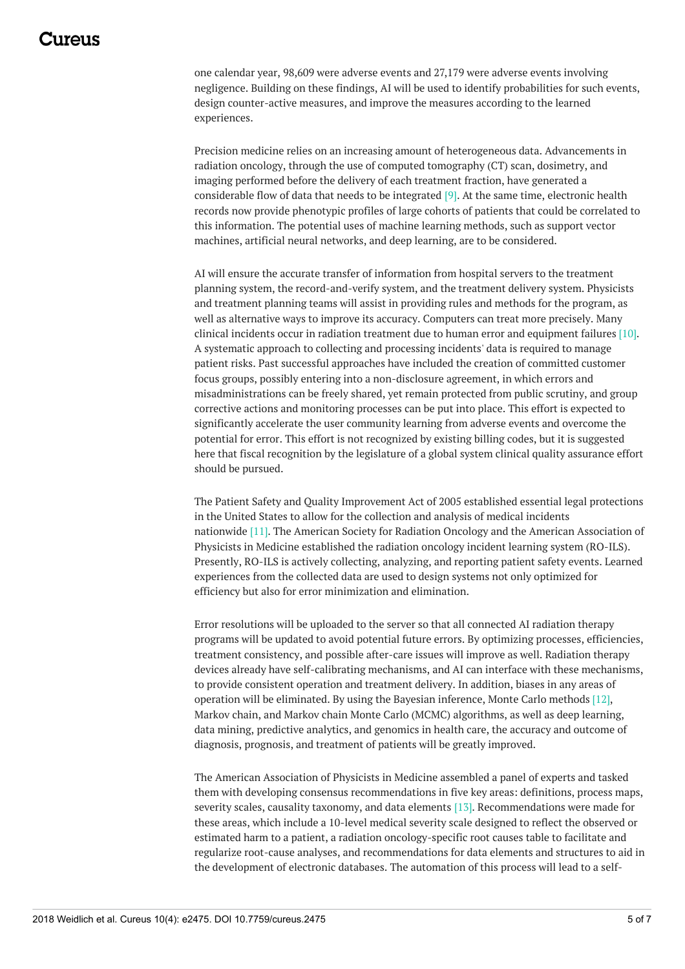## 1174116

one calendar year, 98,609 were adverse events and 27,179 were adverse events involving negligence. Building on these findings, AI will be used to identify probabilities for such events, design counter-active measures, and improve the measures according to the learned experiences.

Precision medicine relies on an increasing amount of heterogeneous data. Advancements in radiation oncology, through the use of computed tomography (CT) scan, dosimetry, and imaging performed before the delivery of each treatment fraction, have generated a considerable flow of data that needs to be integrated [9]. At the same time, electronic health records now provide phenotypic profiles of large cohorts of patients that could be correlated to this information. The potential uses of machine learning methods, such as support vector machines, artificial neural networks, and deep learning, are to be considered.

AI will ensure the accurate transfer of information from hospital servers to the treatment planning system, the record-and-verify system, and the treatment delivery system. Physicists and treatment planning teams will assist in providing rules and methods for the program, as well as alternative ways to improve its accuracy. Computers can treat more precisely. Many clinical incidents occur in radiation treatment due to human error and equipment failures [10]. A systematic approach to collecting and processing incidents' data is required to manage patient risks. Past successful approaches have included the creation of committed customer focus groups, possibly entering into a non-disclosure agreement, in which errors and misadministrations can be freely shared, yet remain protected from public scrutiny, and group corrective actions and monitoring processes can be put into place. This effort is expected to significantly accelerate the user community learning from adverse events and overcome the potential for error. This effort is not recognized by existing billing codes, but it is suggested here that fiscal recognition by the legislature of a global system clinical quality assurance effort should be pursued.

The Patient Safety and Quality Improvement Act of 2005 established essential legal protections in the United States to allow for the collection and analysis of medical incidents nationwide [11]. The American Society for Radiation Oncology and the American Association of Physicists in Medicine established the radiation oncology incident learning system (RO-ILS). Presently, RO-ILS is actively collecting, analyzing, and reporting patient safety events. Learned experiences from the collected data are used to design systems not only optimized for efficiency but also for error minimization and elimination.

Error resolutions will be uploaded to the server so that all connected AI radiation therapy programs will be updated to avoid potential future errors. By optimizing processes, efficiencies, treatment consistency, and possible after-care issues will improve as well. Radiation therapy devices already have self-calibrating mechanisms, and AI can interface with these mechanisms, to provide consistent operation and treatment delivery. In addition, biases in any areas of operation will be eliminated. By using the Bayesian inference, Monte Carlo methods [12], Markov chain, and Markov chain Monte Carlo (MCMC) algorithms, as well as deep learning, data mining, predictive analytics, and genomics in health care, the accuracy and outcome of diagnosis, prognosis, and treatment of patients will be greatly improved.

The American Association of Physicists in Medicine assembled a panel of experts and tasked them with developing consensus recommendations in five key areas: definitions, process maps, severity scales, causality taxonomy, and data elements [13]. Recommendations were made for these areas, which include a 10-level medical severity scale designed to reflect the observed or estimated harm to a patient, a radiation oncology-specific root causes table to facilitate and regularize root-cause analyses, and recommendations for data elements and structures to aid in the development of electronic databases. The automation of this process will lead to a self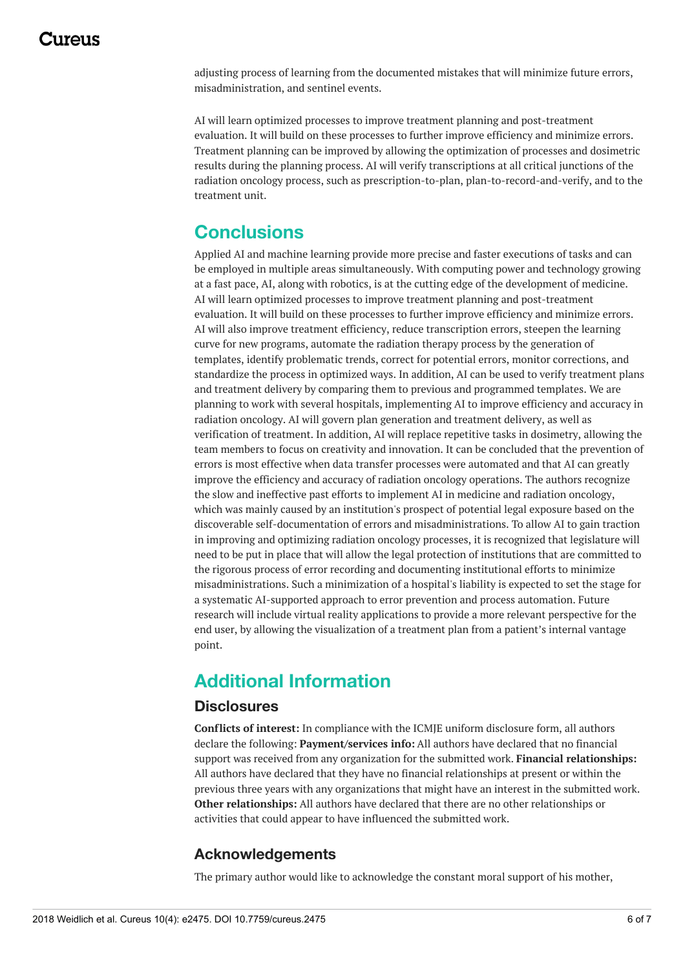adjusting process of learning from the documented mistakes that will minimize future errors, misadministration, and sentinel events.

AI will learn optimized processes to improve treatment planning and post-treatment evaluation. It will build on these processes to further improve efficiency and minimize errors. Treatment planning can be improved by allowing the optimization of processes and dosimetric results during the planning process. AI will verify transcriptions at all critical junctions of the radiation oncology process, such as prescription-to-plan, plan-to-record-and-verify, and to the treatment unit.

## **Conclusions**

Applied AI and machine learning provide more precise and faster executions of tasks and can be employed in multiple areas simultaneously. With computing power and technology growing at a fast pace, AI, along with robotics, is at the cutting edge of the development of medicine. AI will learn optimized processes to improve treatment planning and post-treatment evaluation. It will build on these processes to further improve efficiency and minimize errors. AI will also improve treatment efficiency, reduce transcription errors, steepen the learning curve for new programs, automate the radiation therapy process by the generation of templates, identify problematic trends, correct for potential errors, monitor corrections, and standardize the process in optimized ways. In addition, AI can be used to verify treatment plans and treatment delivery by comparing them to previous and programmed templates. We are planning to work with several hospitals, implementing AI to improve efficiency and accuracy in radiation oncology. AI will govern plan generation and treatment delivery, as well as verification of treatment. In addition, AI will replace repetitive tasks in dosimetry, allowing the team members to focus on creativity and innovation. It can be concluded that the prevention of errors is most effective when data transfer processes were automated and that AI can greatly improve the efficiency and accuracy of radiation oncology operations. The authors recognize the slow and ineffective past efforts to implement AI in medicine and radiation oncology, which was mainly caused by an institution's prospect of potential legal exposure based on the discoverable self-documentation of errors and misadministrations. To allow AI to gain traction in improving and optimizing radiation oncology processes, it is recognized that legislature will need to be put in place that will allow the legal protection of institutions that are committed to the rigorous process of error recording and documenting institutional efforts to minimize misadministrations. Such a minimization of a hospital's liability is expected to set the stage for a systematic AI-supported approach to error prevention and process automation. Future research will include virtual reality applications to provide a more relevant perspective for the end user, by allowing the visualization of a treatment plan from a patient's internal vantage point.

## **Additional Information**

#### **Disclosures**

**Conflicts of interest:** In compliance with the ICMJE uniform disclosure form, all authors declare the following: **Payment/services info:** All authors have declared that no financial support was received from any organization for the submitted work. **Financial relationships:** All authors have declared that they have no financial relationships at present or within the previous three years with any organizations that might have an interest in the submitted work. **Other relationships:** All authors have declared that there are no other relationships or activities that could appear to have influenced the submitted work.

#### **Acknowledgements**

The primary author would like to acknowledge the constant moral support of his mother,